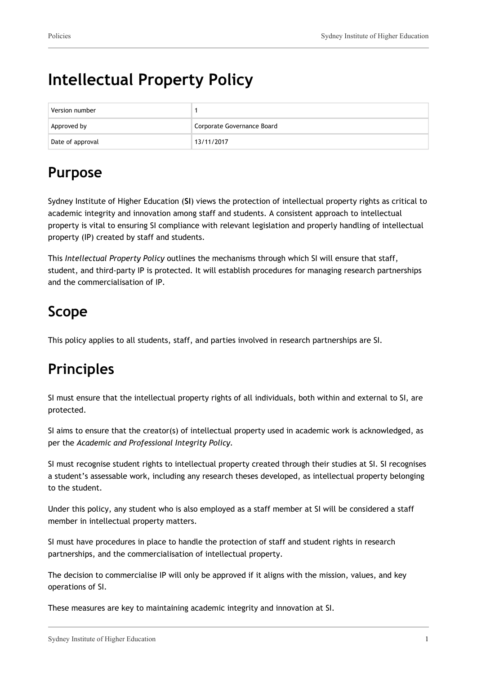# **Intellectual Property Policy**

| Version number   |                            |
|------------------|----------------------------|
| Approved by      | Corporate Governance Board |
| Date of approval | 13/11/2017                 |

# **Purpose**

Sydney Institute of Higher Education (**SI**) views the protection of intellectual property rights as critical to academic integrity and innovation among staff and students. A consistent approach to intellectual property is vital to ensuring SI compliance with relevant legislation and properly handling of intellectual property (IP) created by staff and students.

This *Intellectual Property Policy* outlines the mechanisms through which SI will ensure that staff, student, and third-party IP is protected. It will establish procedures for managing research partnerships and the commercialisation of IP.

# **Scope**

This policy applies to all students, staff, and parties involved in research partnerships are SI.

# **Principles**

SI must ensure that the intellectual property rights of all individuals, both within and external to SI, are protected.

SI aims to ensure that the creator(s) of intellectual property used in academic work is acknowledged, as per the *Academic and Professional Integrity Policy.*

SI must recognise student rights to intellectual property created through their studies at SI. SI recognises a student's assessable work, including any research theses developed, as intellectual property belonging to the student.

Under this policy, any student who is also employed as a staff member at SI will be considered a staff member in intellectual property matters.

SI must have procedures in place to handle the protection of staff and student rights in research partnerships, and the commercialisation of intellectual property.

The decision to commercialise IP will only be approved if it aligns with the mission, values, and key operations of SI.

These measures are key to maintaining academic integrity and innovation at SI.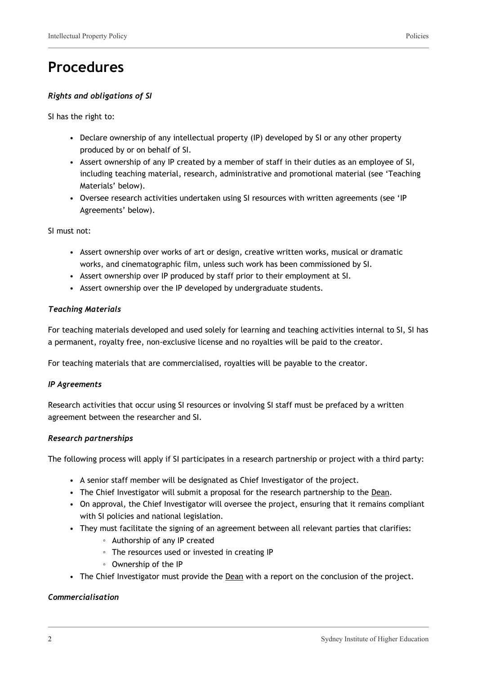### **Procedures**

#### *Rights and obligations of SI*

SI has the right to:

- Declare ownership of any intellectual property (IP) developed by SI or any other property produced by or on behalf of SI.
- Assert ownership of any IP created by a member of staff in their duties as an employee of SI, including teaching material, research, administrative and promotional material (see 'Teaching Materials' below).
- Oversee research activities undertaken using SI resources with written agreements (see 'IP Agreements' below).

SI must not:

- Assert ownership over works of art or design, creative written works, musical or dramatic works, and cinematographic film, unless such work has been commissioned by SI.
- Assert ownership over IP produced by staff prior to their employment at SI.
- Assert ownership over the IP developed by undergraduate students.

#### *Teaching Materials*

For teaching materials developed and used solely for learning and teaching activities internal to SI, SI has a permanent, royalty free, non-exclusive license and no royalties will be paid to the creator.

For teaching materials that are commercialised, royalties will be payable to the creator.

#### *IP Agreements*

Research activities that occur using SI resources or involving SI staff must be prefaced by a written agreement between the researcher and SI.

#### *Research partnerships*

The following process will apply if SI participates in a research partnership or project with a third party:

- A senior staff member will be designated as Chief Investigator of the project.
- The Chief Investigator will submit a proposal for the research partnership to the Dean.
- On approval, the Chief Investigator will oversee the project, ensuring that it remains compliant with SI policies and national legislation.
- They must facilitate the signing of an agreement between all relevant parties that clarifies:
	- Authorship of any IP created
	- The resources used or invested in creating IP
	- Ownership of the IP
- The Chief Investigator must provide the **Dean** with a report on the conclusion of the project.

#### *Commercialisation*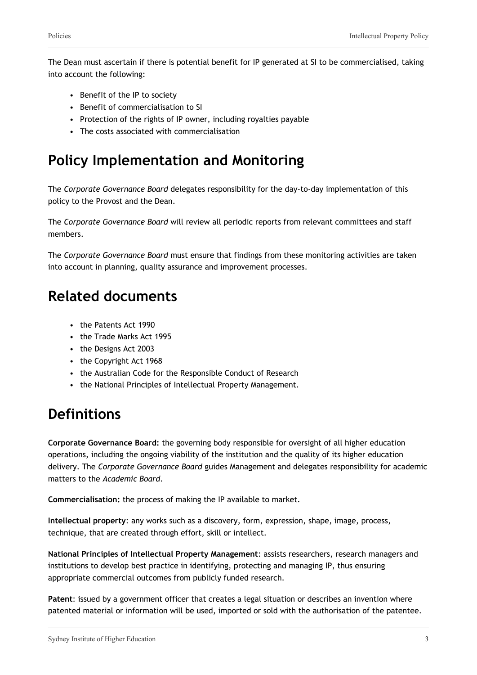The Dean must ascertain if there is potential benefit for IP generated at SI to be commercialised, taking into account the following:

- Benefit of the IP to society
- Benefit of commercialisation to SI
- Protection of the rights of IP owner, including royalties payable
- The costs associated with commercialisation

### **Policy Implementation and Monitoring**

The *Corporate Governance Board* delegates responsibility for the day-to-day implementation of this policy to the Provost and the Dean.

The *Corporate Governance Board* will review all periodic reports from relevant committees and staff members.

The *Corporate Governance Board* must ensure that findings from these monitoring activities are taken into account in planning, quality assurance and improvement processes.

### **Related documents**

- the Patents Act 1990
- the Trade Marks Act 1995
- the Designs Act 2003
- the Copyright Act 1968
- the Australian Code for the Responsible Conduct of Research
- the National Principles of Intellectual Property Management.

### **Definitions**

**Corporate Governance Board:** the governing body responsible for oversight of all higher education operations, including the ongoing viability of the institution and the quality of its higher education delivery. The *Corporate Governance Board* guides Management and delegates responsibility for academic matters to the *Academic Board*.

**Commercialisation:** the process of making the IP available to market.

**Intellectual property**: any works such as a discovery, form, expression, shape, image, process, technique, that are created through effort, skill or intellect.

**National Principles of Intellectual Property Management**: assists researchers, research managers and institutions to develop best practice in identifying, protecting and managing IP, thus ensuring appropriate commercial outcomes from publicly funded research.

**Patent**: issued by a government officer that creates a legal situation or describes an invention where patented material or information will be used, imported or sold with the authorisation of the patentee.